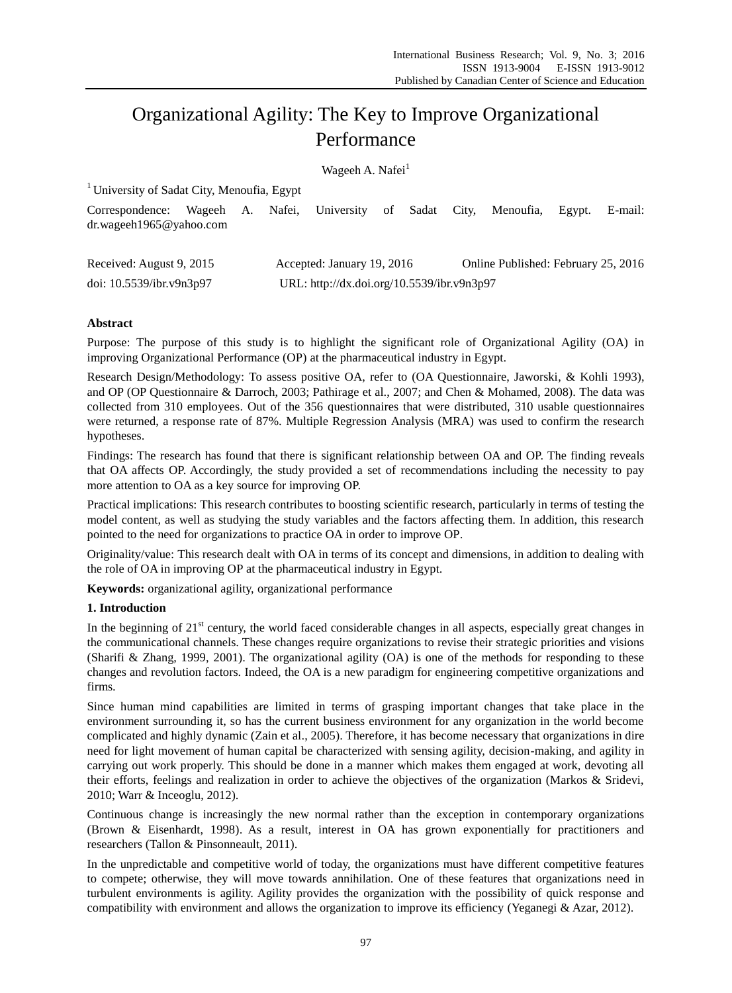# Organizational Agility: The Key to Improve Organizational Performance

Wageeh A. Nafei<sup>1</sup>

| <sup>1</sup> University of Sadat City, Menoufia, Egypt |        |  |           |                                            |  |  |  |                                     |        |         |
|--------------------------------------------------------|--------|--|-----------|--------------------------------------------|--|--|--|-------------------------------------|--------|---------|
| Correspondence:<br>dr.wageeh1965@yahoo.com             | Wageeh |  | A. Nafei, | University of Sadat City,                  |  |  |  | Menoufia,                           | Egypt. | E-mail: |
| Received: August 9, 2015                               |        |  |           | Accepted: January 19, 2016                 |  |  |  | Online Published: February 25, 2016 |        |         |
| doi: 10.5539/ibr.v9n3p97                               |        |  |           | URL: http://dx.doi.org/10.5539/ibr.v9n3p97 |  |  |  |                                     |        |         |

# **Abstract**

Purpose: The purpose of this study is to highlight the significant role of Organizational Agility (OA) in improving Organizational Performance (OP) at the pharmaceutical industry in Egypt.

Research Design/Methodology: To assess positive OA, refer to (OA Questionnaire, Jaworski, & Kohli 1993), and OP (OP Questionnaire & Darroch, 2003; Pathirage et al., 2007; and Chen & Mohamed, 2008). The data was collected from 310 employees. Out of the 356 questionnaires that were distributed, 310 usable questionnaires were returned, a response rate of 87%. Multiple Regression Analysis (MRA) was used to confirm the research hypotheses.

Findings: The research has found that there is significant relationship between OA and OP. The finding reveals that OA affects OP. Accordingly, the study provided a set of recommendations including the necessity to pay more attention to OA as a key source for improving OP.

Practical implications: This research contributes to boosting scientific research, particularly in terms of testing the model content, as well as studying the study variables and the factors affecting them. In addition, this research pointed to the need for organizations to practice OA in order to improve OP.

Originality/value: This research dealt with OA in terms of its concept and dimensions, in addition to dealing with the role of OA in improving OP at the pharmaceutical industry in Egypt.

**Keywords:** organizational agility, organizational performance

# **1. Introduction**

In the beginning of  $21<sup>st</sup>$  century, the world faced considerable changes in all aspects, especially great changes in the communicational channels. These changes require organizations to revise their strategic priorities and visions (Sharifi & Zhang, 1999, 2001). The organizational agility (OA) is one of the methods for responding to these changes and revolution factors. Indeed, the OA is a new paradigm for engineering competitive organizations and firms.

Since human mind capabilities are limited in terms of grasping important changes that take place in the environment surrounding it, so has the current business environment for any organization in the world become complicated and highly dynamic (Zain et al., 2005). Therefore, it has become necessary that organizations in dire need for light movement of human capital be characterized with sensing agility, decision-making, and agility in carrying out work properly. This should be done in a manner which makes them engaged at work, devoting all their efforts, feelings and realization in order to achieve the objectives of the organization (Markos & Sridevi, 2010; Warr & Inceoglu, 2012).

Continuous change is increasingly the new normal rather than the exception in contemporary organizations (Brown & Eisenhardt, 1998). As a result, interest in OA has grown exponentially for practitioners and researchers (Tallon & Pinsonneault, 2011).

In the unpredictable and competitive world of today, the organizations must have different competitive features to compete; otherwise, they will move towards annihilation. One of these features that organizations need in turbulent environments is agility. Agility provides the organization with the possibility of quick response and compatibility with environment and allows the organization to improve its efficiency (Yeganegi & Azar, 2012).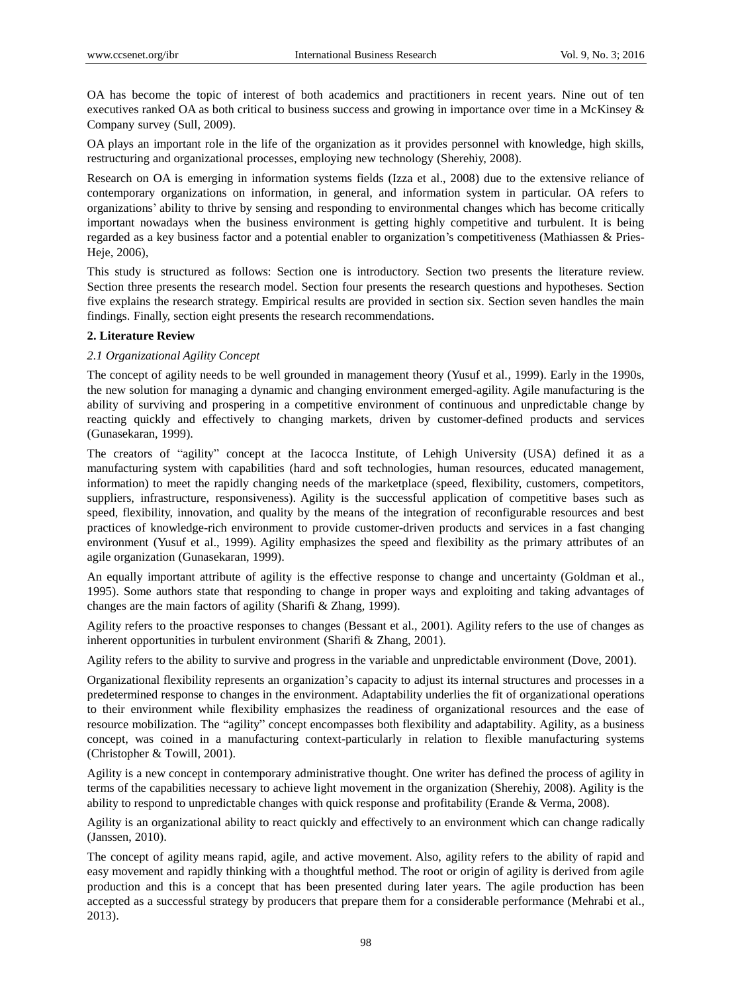OA has become the topic of interest of both academics and practitioners in recent years. Nine out of ten executives ranked OA as both critical to business success and growing in importance over time in a McKinsey & Company survey (Sull, 2009).

OA plays an important role in the life of the organization as it provides personnel with knowledge, high skills, restructuring and organizational processes, employing new technology (Sherehiy, 2008).

Research on OA is emerging in information systems fields (Izza et al., 2008) due to the extensive reliance of contemporary organizations on information, in general, and information system in particular. OA refers to organizations' ability to thrive by sensing and responding to environmental changes which has become critically important nowadays when the business environment is getting highly competitive and turbulent. It is being regarded as a key business factor and a potential enabler to organization's competitiveness (Mathiassen & Pries-Heje, 2006),

This study is structured as follows: Section one is introductory. Section two presents the literature review. Section three presents the research model. Section four presents the research questions and hypotheses. Section five explains the research strategy. Empirical results are provided in section six. Section seven handles the main findings. Finally, section eight presents the research recommendations.

# **2. Literature Review**

# *2.1 Organizational Agility Concept*

The concept of agility needs to be well grounded in management theory (Yusuf et al., 1999). Early in the 1990s, the new solution for managing a dynamic and changing environment emerged-agility. Agile manufacturing is the ability of surviving and prospering in a competitive environment of continuous and unpredictable change by reacting quickly and effectively to changing markets, driven by customer-defined products and services (Gunasekaran, 1999).

The creators of "agility" concept at the Iacocca Institute, of Lehigh University (USA) defined it as a manufacturing system with capabilities (hard and soft technologies, human resources, educated management, information) to meet the rapidly changing needs of the marketplace (speed, flexibility, customers, competitors, suppliers, infrastructure, responsiveness). Agility is the successful application of competitive bases such as speed, flexibility, innovation, and quality by the means of the integration of reconfigurable resources and best practices of knowledge-rich environment to provide customer-driven products and services in a fast changing environment (Yusuf et al., 1999). Agility emphasizes the speed and flexibility as the primary attributes of an agile organization (Gunasekaran, 1999).

An equally important attribute of agility is the effective response to change and uncertainty (Goldman et al., 1995). Some authors state that responding to change in proper ways and exploiting and taking advantages of changes are the main factors of agility (Sharifi & Zhang, 1999).

Agility refers to the proactive responses to changes (Bessant et al., 2001). Agility refers to the use of changes as inherent opportunities in turbulent environment (Sharifi & Zhang, 2001).

Agility refers to the ability to survive and progress in the variable and unpredictable environment (Dove, 2001).

Organizational flexibility represents an organization's capacity to adjust its internal structures and processes in a predetermined response to changes in the environment. Adaptability underlies the fit of organizational operations to their environment while flexibility emphasizes the readiness of organizational resources and the ease of resource mobilization. The "agility" concept encompasses both flexibility and adaptability. Agility, as a business concept, was coined in a manufacturing context-particularly in relation to flexible manufacturing systems (Christopher & Towill, 2001).

Agility is a new concept in contemporary administrative thought. One writer has defined the process of agility in terms of the capabilities necessary to achieve light movement in the organization (Sherehiy, 2008). Agility is the ability to respond to unpredictable changes with quick response and profitability (Erande & Verma, 2008).

Agility is an organizational ability to react quickly and effectively to an environment which can change radically (Janssen, 2010).

The concept of agility means rapid, agile, and active movement. Also, agility refers to the ability of rapid and easy movement and rapidly thinking with a thoughtful method. The root or origin of agility is derived from agile production and this is a concept that has been presented during later years. The agile production has been accepted as a successful strategy by producers that prepare them for a considerable performance (Mehrabi et al., 2013).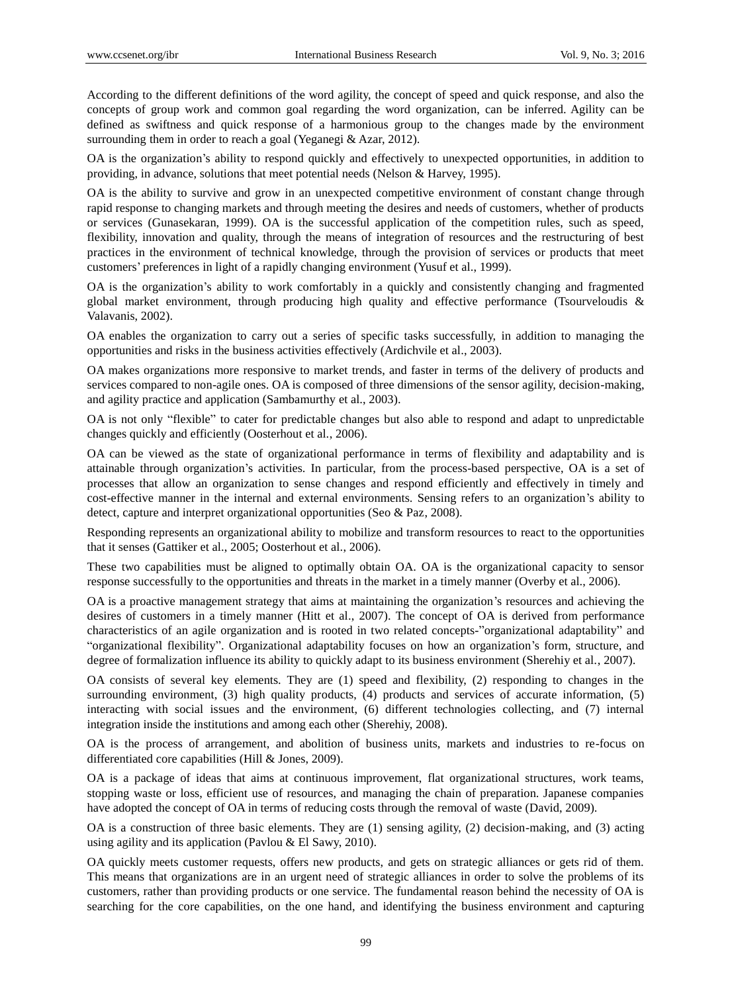According to the different definitions of the word agility, the concept of speed and quick response, and also the concepts of group work and common goal regarding the word organization, can be inferred. Agility can be defined as swiftness and quick response of a harmonious group to the changes made by the environment surrounding them in order to reach a goal (Yeganegi & Azar, 2012).

OA is the organization's ability to respond quickly and effectively to unexpected opportunities, in addition to providing, in advance, solutions that meet potential needs (Nelson & Harvey, 1995).

OA is the ability to survive and grow in an unexpected competitive environment of constant change through rapid response to changing markets and through meeting the desires and needs of customers, whether of products or services (Gunasekaran, 1999). OA is the successful application of the competition rules, such as speed, flexibility, innovation and quality, through the means of integration of resources and the restructuring of best practices in the environment of technical knowledge, through the provision of services or products that meet customers' preferences in light of a rapidly changing environment (Yusuf et al., 1999).

OA is the organization's ability to work comfortably in a quickly and consistently changing and fragmented global market environment, through producing high quality and effective performance (Tsourveloudis & Valavanis, 2002).

OA enables the organization to carry out a series of specific tasks successfully, in addition to managing the opportunities and risks in the business activities effectively (Ardichvile et al., 2003).

OA makes organizations more responsive to market trends, and faster in terms of the delivery of products and services compared to non-agile ones. OA is composed of three dimensions of the sensor agility, decision-making, and agility practice and application (Sambamurthy et al., 2003).

OA is not only "flexible" to cater for predictable changes but also able to respond and adapt to unpredictable changes quickly and efficiently (Oosterhout et al., 2006).

OA can be viewed as the state of organizational performance in terms of flexibility and adaptability and is attainable through organization's activities. In particular, from the process-based perspective, OA is a set of processes that allow an organization to sense changes and respond efficiently and effectively in timely and cost-effective manner in the internal and external environments. Sensing refers to an organization's ability to detect, capture and interpret organizational opportunities (Seo & Paz, 2008).

Responding represents an organizational ability to mobilize and transform resources to react to the opportunities that it senses (Gattiker et al., 2005; Oosterhout et al., 2006).

These two capabilities must be aligned to optimally obtain OA. OA is the organizational capacity to sensor response successfully to the opportunities and threats in the market in a timely manner (Overby et al., 2006).

OA is a proactive management strategy that aims at maintaining the organization's resources and achieving the desires of customers in a timely manner (Hitt et al., 2007). The concept of OA is derived from performance characteristics of an agile organization and is rooted in two related concepts-"organizational adaptability" and "organizational flexibility". Organizational adaptability focuses on how an organization's form, structure, and degree of formalization influence its ability to quickly adapt to its business environment (Sherehiy et al., 2007).

OA consists of several key elements. They are (1) speed and flexibility, (2) responding to changes in the surrounding environment, (3) high quality products, (4) products and services of accurate information, (5) interacting with social issues and the environment, (6) different technologies collecting, and (7) internal integration inside the institutions and among each other (Sherehiy, 2008).

OA is the process of arrangement, and abolition of business units, markets and industries to re-focus on differentiated core capabilities (Hill & Jones, 2009).

OA is a package of ideas that aims at continuous improvement, flat organizational structures, work teams, stopping waste or loss, efficient use of resources, and managing the chain of preparation. Japanese companies have adopted the concept of OA in terms of reducing costs through the removal of waste (David, 2009).

OA is a construction of three basic elements. They are (1) sensing agility, (2) decision-making, and (3) acting using agility and its application (Pavlou & El Sawy, 2010).

OA quickly meets customer requests, offers new products, and gets on strategic alliances or gets rid of them. This means that organizations are in an urgent need of strategic alliances in order to solve the problems of its customers, rather than providing products or one service. The fundamental reason behind the necessity of OA is searching for the core capabilities, on the one hand, and identifying the business environment and capturing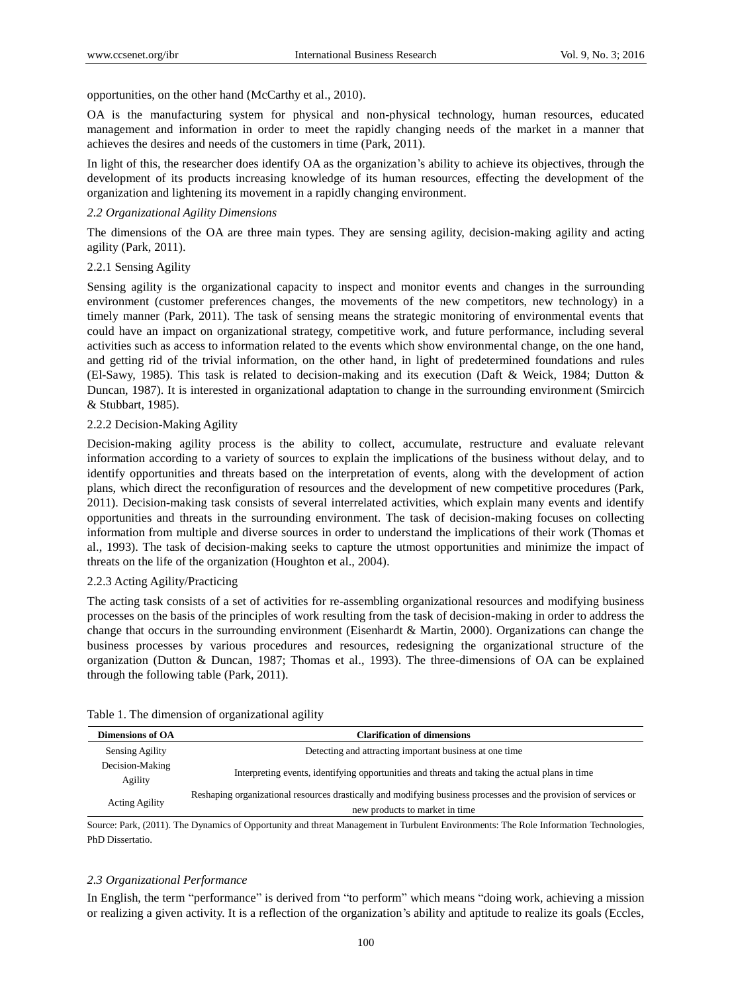opportunities, on the other hand (McCarthy et al., 2010).

OA is the manufacturing system for physical and non-physical technology, human resources, educated management and information in order to meet the rapidly changing needs of the market in a manner that achieves the desires and needs of the customers in time (Park, 2011).

In light of this, the researcher does identify OA as the organization's ability to achieve its objectives, through the development of its products increasing knowledge of its human resources, effecting the development of the organization and lightening its movement in a rapidly changing environment.

## *2.2 Organizational Agility Dimensions*

The dimensions of the OA are three main types. They are sensing agility, decision-making agility and acting agility (Park, 2011).

## 2.2.1 Sensing Agility

Sensing agility is the organizational capacity to inspect and monitor events and changes in the surrounding environment (customer preferences changes, the movements of the new competitors, new technology) in a timely manner (Park, 2011). The task of sensing means the strategic monitoring of environmental events that could have an impact on organizational strategy, competitive work, and future performance, including several activities such as access to information related to the events which show environmental change, on the one hand, and getting rid of the trivial information, on the other hand, in light of predetermined foundations and rules (El-Sawy, 1985). This task is related to decision-making and its execution (Daft & Weick, 1984; Dutton & Duncan, 1987). It is interested in organizational adaptation to change in the surrounding environment (Smircich & Stubbart, 1985).

# 2.2.2 Decision-Making Agility

Decision-making agility process is the ability to collect, accumulate, restructure and evaluate relevant information according to a variety of sources to explain the implications of the business without delay, and to identify opportunities and threats based on the interpretation of events, along with the development of action plans, which direct the reconfiguration of resources and the development of new competitive procedures (Park, 2011). Decision-making task consists of several interrelated activities, which explain many events and identify opportunities and threats in the surrounding environment. The task of decision-making focuses on collecting information from multiple and diverse sources in order to understand the implications of their work (Thomas et al., 1993). The task of decision-making seeks to capture the utmost opportunities and minimize the impact of threats on the life of the organization (Houghton et al., 2004).

#### 2.2.3 Acting Agility/Practicing

The acting task consists of a set of activities for re-assembling organizational resources and modifying business processes on the basis of the principles of work resulting from the task of decision-making in order to address the change that occurs in the surrounding environment (Eisenhardt & Martin, 2000). Organizations can change the business processes by various procedures and resources, redesigning the organizational structure of the organization (Dutton & Duncan, 1987; Thomas et al., 1993). The three-dimensions of OA can be explained through the following table (Park, 2011).

|  |  |  | Table 1. The dimension of organizational agility |  |
|--|--|--|--------------------------------------------------|--|
|  |  |  |                                                  |  |

| Dimensions of OA           | <b>Clarification of dimensions</b>                                                                               |
|----------------------------|------------------------------------------------------------------------------------------------------------------|
| <b>Sensing Agility</b>     | Detecting and attracting important business at one time                                                          |
| Decision-Making<br>Agility | Interpreting events, identifying opportunities and threats and taking the actual plans in time                   |
| <b>Acting Agility</b>      | Reshaping organizational resources drastically and modifying business processes and the provision of services or |
|                            | new products to market in time                                                                                   |

Source: Park, (2011). The Dynamics of Opportunity and threat Management in Turbulent Environments: The Role Information Technologies, PhD Dissertatio.

# *2.3 Organizational Performance*

In English, the term "performance" is derived from "to perform" which means "doing work, achieving a mission or realizing a given activity. It is a reflection of the organization's ability and aptitude to realize its goals (Eccles,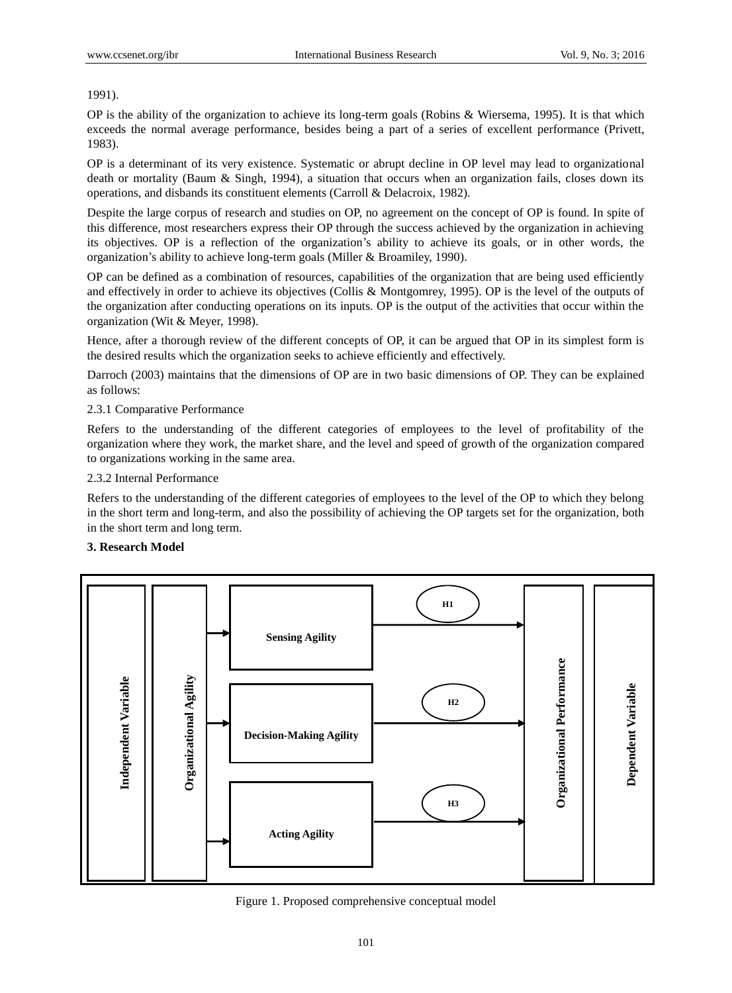1991).

OP is the ability of the organization to achieve its long-term goals (Robins & Wiersema, 1995). It is that which exceeds the normal average performance, besides being a part of a series of excellent performance (Privett, 1983).

OP is a determinant of its very existence. Systematic or abrupt decline in OP level may lead to organizational death or mortality (Baum & Singh, 1994), a situation that occurs when an organization fails, closes down its operations, and disbands its constituent elements (Carroll & Delacroix, 1982).

Despite the large corpus of research and studies on OP, no agreement on the concept of OP is found. In spite of this difference, most researchers express their OP through the success achieved by the organization in achieving its objectives. OP is a reflection of the organization's ability to achieve its goals, or in other words, the organization's ability to achieve long-term goals (Miller & Broamiley, 1990).

OP can be defined as a combination of resources, capabilities of the organization that are being used efficiently and effectively in order to achieve its objectives (Collis & Montgomrey, 1995). OP is the level of the outputs of the organization after conducting operations on its inputs. OP is the output of the activities that occur within the organization (Wit & Meyer, 1998).

Hence, after a thorough review of the different concepts of OP, it can be argued that OP in its simplest form is the desired results which the organization seeks to achieve efficiently and effectively.

Darroch (2003) maintains that the dimensions of OP are in two basic dimensions of OP. They can be explained as follows:

# 2.3.1 Comparative Performance

Refers to the understanding of the different categories of employees to the level of profitability of the organization where they work, the market share, and the level and speed of growth of the organization compared to organizations working in the same area.

# 2.3.2 Internal Performance

Refers to the understanding of the different categories of employees to the level of the OP to which they belong in the short term and long-term, and also the possibility of achieving the OP targets set for the organization, both in the short term and long term.

# **3. Research Model**



#### Figure 1. Proposed comprehensive conceptual model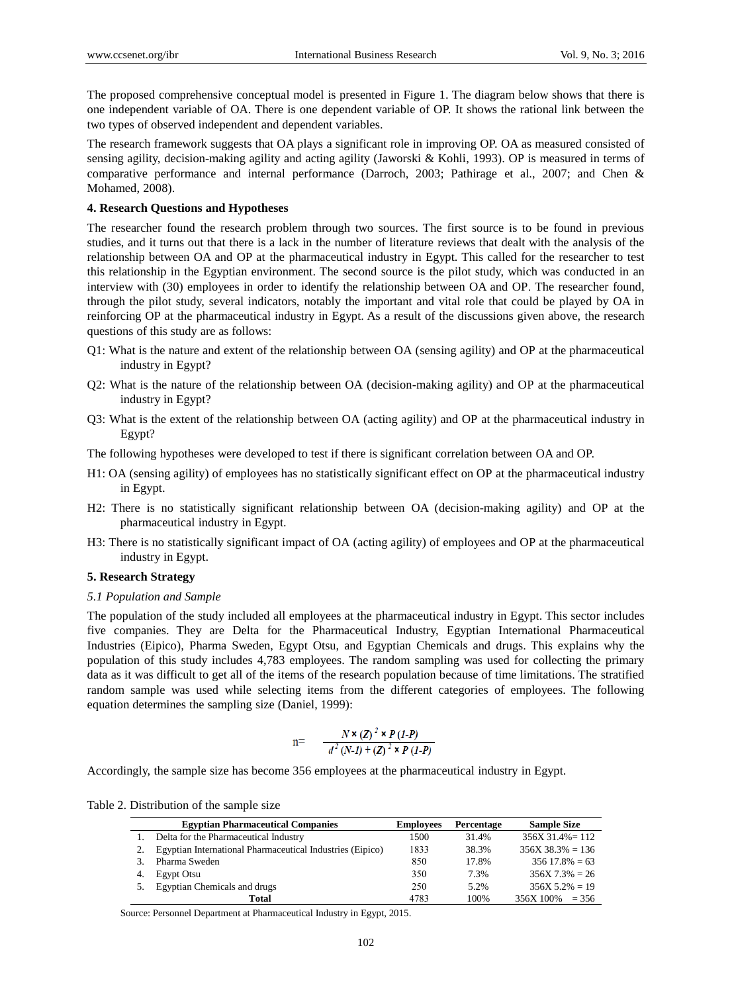The proposed comprehensive conceptual model is presented in Figure 1. The diagram below shows that there is one independent variable of OA. There is one dependent variable of OP. It shows the rational link between the two types of observed independent and dependent variables.

The research framework suggests that OA plays a significant role in improving OP. OA as measured consisted of sensing agility, decision-making agility and acting agility (Jaworski & Kohli, 1993). OP is measured in terms of comparative performance and internal performance (Darroch, 2003; Pathirage et al., 2007; and Chen & Mohamed, 2008).

#### **4. Research Questions and Hypotheses**

The researcher found the research problem through two sources. The first source is to be found in previous studies, and it turns out that there is a lack in the number of literature reviews that dealt with the analysis of the relationship between OA and OP at the pharmaceutical industry in Egypt. This called for the researcher to test this relationship in the Egyptian environment. The second source is the pilot study, which was conducted in an interview with (30) employees in order to identify the relationship between OA and OP. The researcher found, through the pilot study, several indicators, notably the important and vital role that could be played by OA in reinforcing OP at the pharmaceutical industry in Egypt. As a result of the discussions given above, the research questions of this study are as follows:

- Q1: What is the nature and extent of the relationship between OA (sensing agility) and OP at the pharmaceutical industry in Egypt?
- Q2: What is the nature of the relationship between OA (decision-making agility) and OP at the pharmaceutical industry in Egypt?
- Q3: What is the extent of the relationship between OA (acting agility) and OP at the pharmaceutical industry in Egypt?
- The following hypotheses were developed to test if there is significant correlation between OA and OP.
- H1: OA (sensing agility) of employees has no statistically significant effect on OP at the pharmaceutical industry in Egypt.
- H2: There is no statistically significant relationship between OA (decision-making agility) and OP at the pharmaceutical industry in Egypt.
- H3: There is no statistically significant impact of OA (acting agility) of employees and OP at the pharmaceutical industry in Egypt.

## **5. Research Strategy**

## *5.1 Population and Sample*

The population of the study included all employees at the pharmaceutical industry in Egypt. This sector includes five companies. They are Delta for the Pharmaceutical Industry, Egyptian International Pharmaceutical Industries (Eipico), Pharma Sweden, Egypt Otsu, and Egyptian Chemicals and drugs. This explains why the population of this study includes 4,783 employees. The random sampling was used for collecting the primary data as it was difficult to get all of the items of the research population because of time limitations. The stratified random sample was used while selecting items from the different categories of employees. The following equation determines the sampling size (Daniel, 1999):

$$
n = \frac{N \times (Z)^2 \times P (1-P)}{d^2 (N-I) + (Z)^2 \times P (1-P)}
$$

Accordingly, the sample size has become 356 employees at the pharmaceutical industry in Egypt.

|  | Table 2. Distribution of the sample size |  |  |  |
|--|------------------------------------------|--|--|--|
|  |                                          |  |  |  |

|    | <b>Egyptian Pharmaceutical Companies</b>                  | <b>Employees</b> | Percentage | <b>Sample Size</b>  |
|----|-----------------------------------------------------------|------------------|------------|---------------------|
|    | Delta for the Pharmaceutical Industry                     | 1500             | 31.4%      | $356X$ 31.4% = 112  |
|    | Egyptian International Pharmaceutical Industries (Eipico) | 1833             | 38.3%      | $356X 38.3\% = 136$ |
|    | Pharma Sweden                                             | 850              | 17.8%      | $35617.8\% = 63$    |
| 4. | Egypt Otsu                                                | 350              | 7.3%       | $356X$ $7.3\% = 26$ |
|    | Egyptian Chemicals and drugs                              | 250              | 5.2%       | $356X\,5.2\% = 19$  |
|    | Total                                                     | 4783             | 100%       | $356X 100\% = 356$  |

Source: Personnel Department at Pharmaceutical Industry in Egypt, 2015.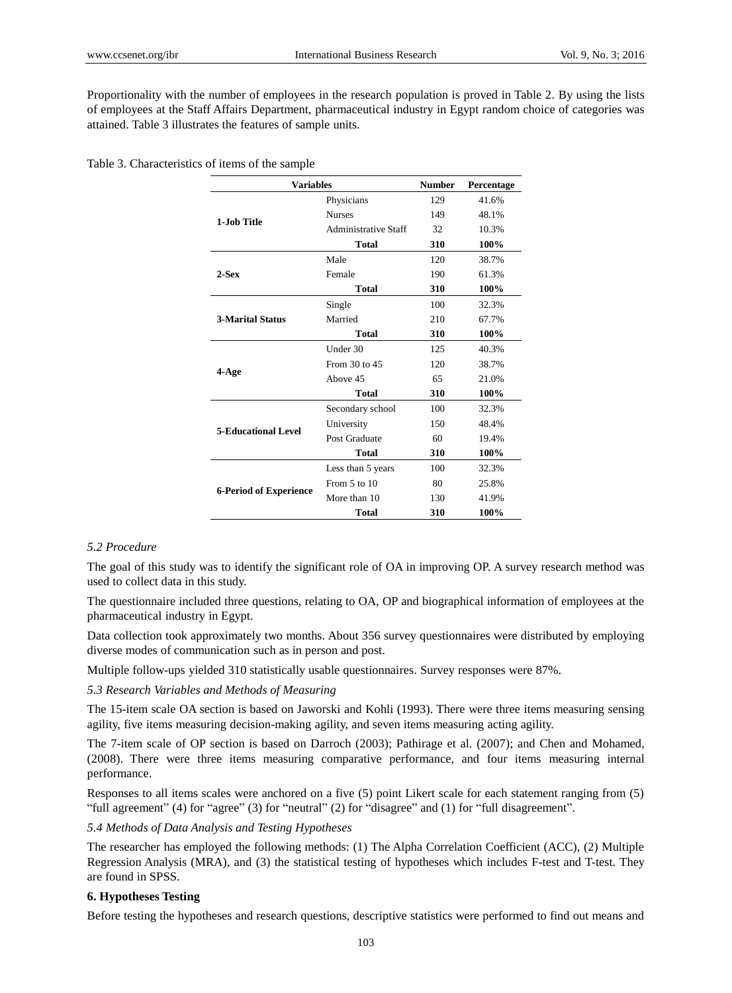Proportionality with the number of employees in the research population is proved in Table 2. By using the lists of employees at the Staff Affairs Department, pharmaceutical industry in Egypt random choice of categories was attained. Table 3 illustrates the features of sample units.

Table 3. Characteristics of items of the sample

| <b>Variables</b>              |                             | <b>Number</b> | Percentage |
|-------------------------------|-----------------------------|---------------|------------|
|                               | Physicians                  | 129           | 41.6%      |
| 1-Job Title                   | <b>Nurses</b>               | 149           | 48.1%      |
|                               | <b>Administrative Staff</b> | 32            | 10.3%      |
|                               | <b>Total</b>                | 310           | 100%       |
|                               | Male                        | 120           | 38.7%      |
| $2-Sex$                       | Female                      | 190           | 61.3%      |
|                               | <b>Total</b>                | 310           | 100%       |
|                               | Single                      | 100           | 32.3%      |
| <b>3-Marital Status</b>       | Married                     | 210           | 67.7%      |
|                               | <b>Total</b>                | 310           | 100%       |
|                               | Under 30                    | 125           | 40.3%      |
|                               | From 30 to 45               | 120           | 38.7%      |
| 4-Age                         | Above 45                    | 65            | 21.0%      |
|                               | <b>Total</b>                | 310           | 100%       |
|                               | Secondary school            | 100           | 32.3%      |
| <b>5-Educational Level</b>    | University                  | 150           | 48.4%      |
|                               | Post Graduate               | 60            | 19.4%      |
|                               | Total                       | 310           | 100%       |
|                               | Less than 5 years           | 100           | 32.3%      |
|                               | From $5$ to $10$            | 80            | 25.8%      |
| <b>6-Period of Experience</b> | More than 10                | 130           | 41.9%      |
|                               | <b>Total</b>                | 310           | 100%       |

# *5.2 Procedure*

The goal of this study was to identify the significant role of OA in improving OP. A survey research method was used to collect data in this study.

The questionnaire included three questions, relating to OA, OP and biographical information of employees at the pharmaceutical industry in Egypt.

Data collection took approximately two months. About 356 survey questionnaires were distributed by employing diverse modes of communication such as in person and post.

Multiple follow-ups yielded 310 statistically usable questionnaires. Survey responses were 87%.

# *5.3 Research Variables and Methods of Measuring*

The 15-item scale OA section is based on Jaworski and Kohli (1993). There were three items measuring sensing agility, five items measuring decision-making agility, and seven items measuring acting agility.

The 7-item scale of OP section is based on Darroch (2003); Pathirage et al. (2007); and Chen and Mohamed, (2008). There were three items measuring comparative performance, and four items measuring internal performance.

Responses to all items scales were anchored on a five (5) point Likert scale for each statement ranging from (5) "full agreement" (4) for "agree" (3) for "neutral" (2) for "disagree" and (1) for "full disagreement".

# *5.4 Methods of Data Analysis and Testing Hypotheses*

The researcher has employed the following methods: (1) The Alpha Correlation Coefficient (ACC), (2) Multiple Regression Analysis (MRA), and (3) the statistical testing of hypotheses which includes F-test and T-test. They are found in SPSS.

# **6. Hypotheses Testing**

Before testing the hypotheses and research questions, descriptive statistics were performed to find out means and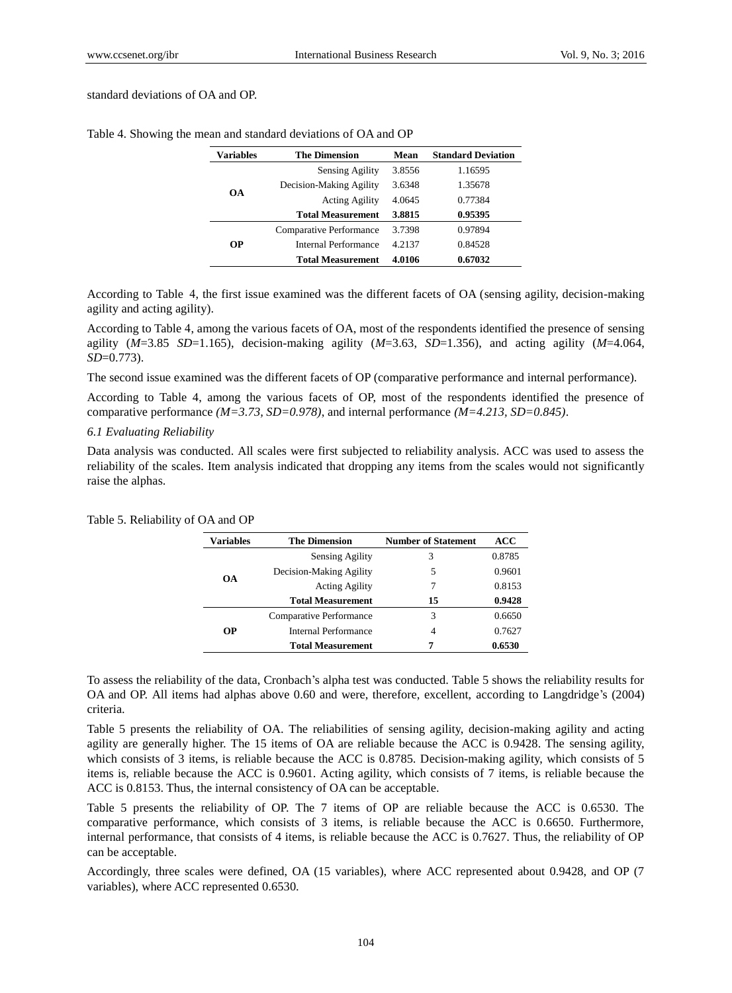#### standard deviations of OA and OP.

| Variables | <b>The Dimension</b>     | Mean   | <b>Standard Deviation</b> |
|-----------|--------------------------|--------|---------------------------|
|           | Sensing Agility          | 3.8556 | 1.16595                   |
|           | Decision-Making Agility  | 3.6348 | 1.35678                   |
| <b>OA</b> | <b>Acting Agility</b>    | 4.0645 | 0.77384                   |
|           | <b>Total Measurement</b> | 3.8815 | 0.95395                   |
|           | Comparative Performance  | 3.7398 | 0.97894                   |
| <b>OP</b> | Internal Performance     | 4.2137 | 0.84528                   |
|           | <b>Total Measurement</b> | 4.0106 | 0.67032                   |

Table 4. Showing the mean and standard deviations of OA and OP

According to Table 4, the first issue examined was the different facets of OA (sensing agility, decision-making agility and acting agility).

According to Table 4, among the various facets of OA, most of the respondents identified the presence of sensing agility (*M*=3.85 *SD*=1.165), decision-making agility (*M*=3.63, *SD*=1.356), and acting agility (*M*=4.064, *SD*=0.773).

The second issue examined was the different facets of OP (comparative performance and internal performance).

According to Table 4, among the various facets of OP, most of the respondents identified the presence of comparative performance *(M=3.73, SD=0.978)*, and internal performance *(M=4.213, SD=0.845)*.

## *6.1 Evaluating Reliability*

Data analysis was conducted. All scales were first subjected to reliability analysis. ACC was used to assess the reliability of the scales. Item analysis indicated that dropping any items from the scales would not significantly raise the alphas.

| Variables | <b>The Dimension</b>     | <b>Number of Statement</b> | ACC    |
|-----------|--------------------------|----------------------------|--------|
|           | <b>Sensing Agility</b>   | 3                          | 0.8785 |
| <b>OA</b> | Decision-Making Agility  | 5                          | 0.9601 |
|           | <b>Acting Agility</b>    | 7                          | 0.8153 |
|           | <b>Total Measurement</b> | 15                         | 0.9428 |
|           | Comparative Performance  | 3                          | 0.6650 |
| <b>OP</b> | Internal Performance     | 4                          | 0.7627 |
|           | <b>Total Measurement</b> | 7                          | 0.6530 |

Table 5. Reliability of OA and OP

To assess the reliability of the data, Cronbach's alpha test was conducted. Table 5 shows the reliability results for OA and OP. All items had alphas above 0.60 and were, therefore, excellent, according to Langdridge's (2004) criteria.

Table 5 presents the reliability of OA. The reliabilities of sensing agility, decision-making agility and acting agility are generally higher. The 15 items of OA are reliable because the ACC is 0.9428. The sensing agility, which consists of 3 items, is reliable because the ACC is 0.8785. Decision-making agility, which consists of 5 items is, reliable because the ACC is 0.9601. Acting agility, which consists of 7 items, is reliable because the ACC is 0.8153. Thus, the internal consistency of OA can be acceptable.

Table 5 presents the reliability of OP. The 7 items of OP are reliable because the ACC is 0.6530. The comparative performance, which consists of 3 items, is reliable because the ACC is 0.6650. Furthermore, internal performance, that consists of 4 items, is reliable because the ACC is 0.7627. Thus, the reliability of OP can be acceptable.

Accordingly, three scales were defined, OA (15 variables), where ACC represented about 0.9428, and OP (7 variables), where ACC represented 0.6530.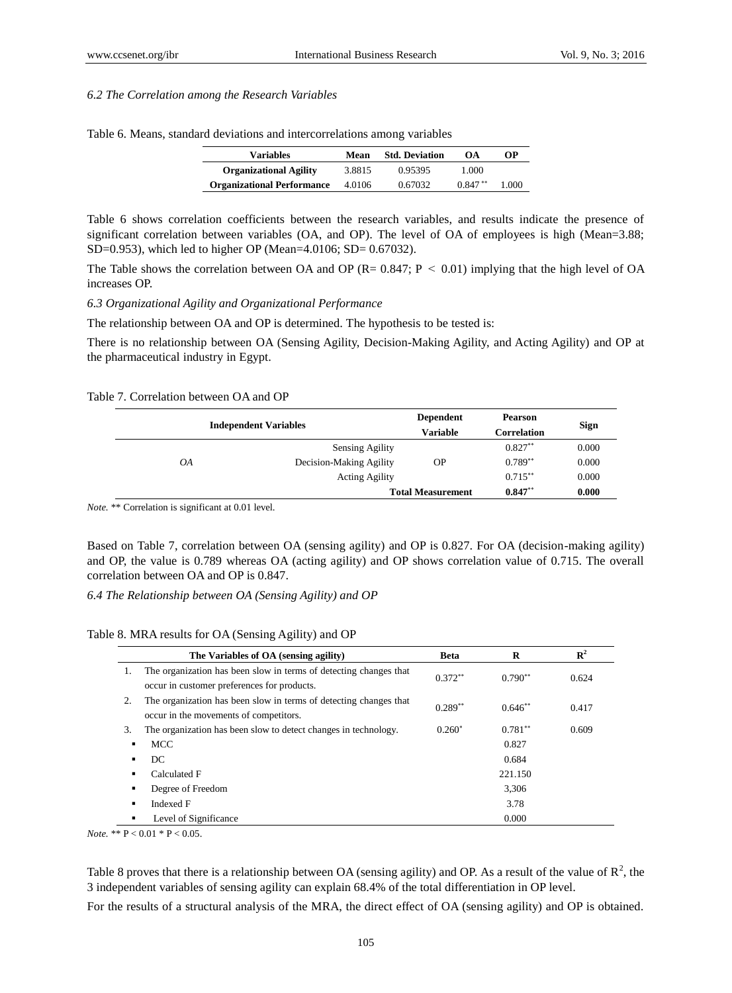#### *6.2 The Correlation among the Research Variables*

| <b>Variables</b>                  | Mean   | <b>Std. Deviation</b> | OA.       | OР    |
|-----------------------------------|--------|-----------------------|-----------|-------|
| <b>Organizational Agility</b>     | 3.8815 | 0.95395               | 1.000     |       |
| <b>Organizational Performance</b> | 4.0106 | 0.67032               | $0.847**$ | 1.000 |

Table 6. Means, standard deviations and intercorrelations among variables

Table 6 shows correlation coefficients between the research variables, and results indicate the presence of significant correlation between variables (OA, and OP). The level of OA of employees is high (Mean=3.88; SD=0.953), which led to higher OP (Mean=4.0106; SD= 0.67032).

The Table shows the correlation between OA and OP ( $R = 0.847$ ;  $P < 0.01$ ) implying that the high level of OA increases OP.

#### *6.3 Organizational Agility and Organizational Performance*

The relationship between OA and OP is determined. The hypothesis to be tested is:

There is no relationship between OA (Sensing Agility, Decision-Making Agility, and Acting Agility) and OP at the pharmaceutical industry in Egypt.

#### Table 7. Correlation between OA and OP

|                          | <b>Independent Variables</b> | <b>Dependent</b><br><b>Variable</b> | <b>Pearson</b><br>Correlation | Sign  |
|--------------------------|------------------------------|-------------------------------------|-------------------------------|-------|
|                          | <b>Sensing Agility</b>       |                                     | $0.827**$                     | 0.000 |
| OA                       | Decision-Making Agility      | ΟP                                  | $0.789**$                     | 0.000 |
|                          | <b>Acting Agility</b>        |                                     | $0.715***$                    | 0.000 |
| <b>Total Measurement</b> |                              |                                     | $0.847**$                     | 0.000 |

*Note.* \*\* Correlation is significant at 0.01 level.

Based on Table 7, correlation between OA (sensing agility) and OP is 0.827. For OA (decision-making agility) and OP, the value is 0.789 whereas OA (acting agility) and OP shows correlation value of 0.715. The overall correlation between OA and OP is 0.847.

*6.4 The Relationship between OA (Sensing Agility) and OP*

Table 8. MRA results for OA (Sensing Agility) and OP

|                | The Variables of OA (sensing agility)                                                                            | <b>Beta</b> | R         | $\mathbf{R}^2$ |
|----------------|------------------------------------------------------------------------------------------------------------------|-------------|-----------|----------------|
| 1.             | The organization has been slow in terms of detecting changes that<br>occur in customer preferences for products. | $0.372**$   | $0.790**$ | 0.624          |
| 2.             | The organization has been slow in terms of detecting changes that<br>occur in the movements of competitors.      | $0.289**$   | $0.646**$ | 0.417          |
| 3.             | The organization has been slow to detect changes in technology.                                                  | $0.260*$    | $0.781**$ | 0.609          |
| $\blacksquare$ | MCC                                                                                                              |             | 0.827     |                |
| $\blacksquare$ | DC                                                                                                               |             | 0.684     |                |
| ٠              | Calculated F                                                                                                     |             | 221.150   |                |
| ٠              | Degree of Freedom                                                                                                |             | 3,306     |                |
| ٠              | Indexed F                                                                                                        |             | 3.78      |                |
|                | Level of Significance                                                                                            |             | 0.000     |                |

*Note.* \*\* P < 0.01 \* P < 0.05.

Table 8 proves that there is a relationship between OA (sensing agility) and OP. As a result of the value of  $\mathbb{R}^2$ , the 3 independent variables of sensing agility can explain 68.4% of the total differentiation in OP level.

For the results of a structural analysis of the MRA, the direct effect of OA (sensing agility) and OP is obtained.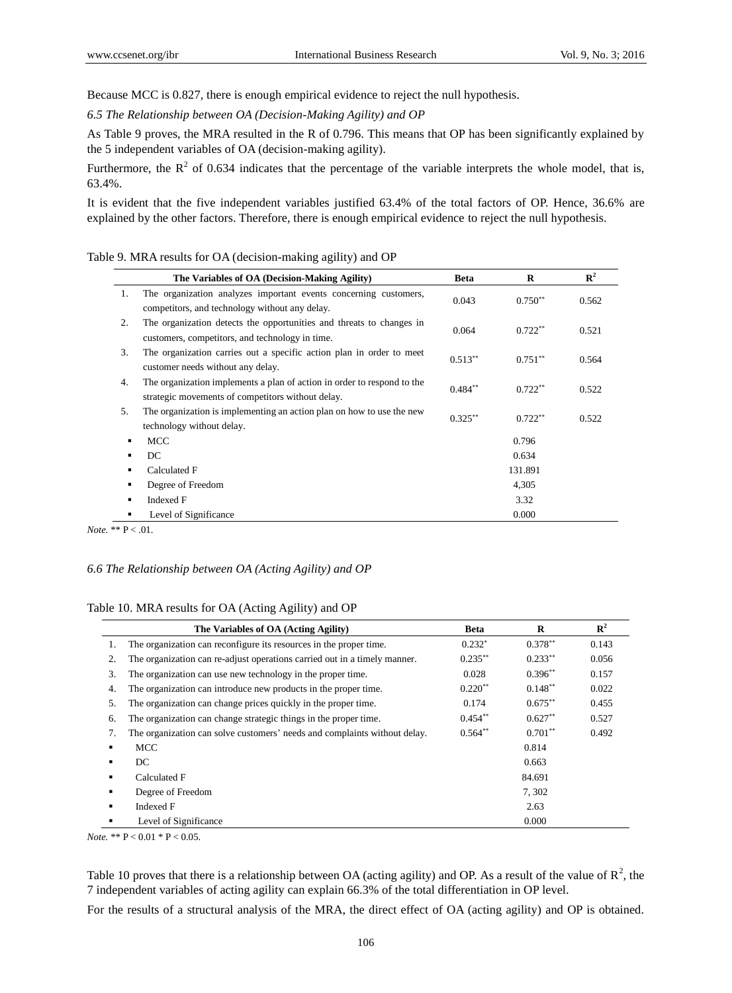Because MCC is 0.827, there is enough empirical evidence to reject the null hypothesis.

*6.5 The Relationship between OA (Decision-Making Agility) and OP*

As Table 9 proves, the MRA resulted in the R of 0.796. This means that OP has been significantly explained by the 5 independent variables of OA (decision-making agility).

Furthermore, the  $R^2$  of 0.634 indicates that the percentage of the variable interprets the whole model, that is, 63.4%.

It is evident that the five independent variables justified 63.4% of the total factors of OP. Hence, 36.6% are explained by the other factors. Therefore, there is enough empirical evidence to reject the null hypothesis.

# Table 9. MRA results for OA (decision-making agility) and OP

|    | The Variables of OA (Decision-Making Agility)                                                                                | <b>Beta</b> | $\bf{R}$  | $\mathbb{R}^2$ |
|----|------------------------------------------------------------------------------------------------------------------------------|-------------|-----------|----------------|
| 1. | The organization analyzes important events concerning customers,<br>competitors, and technology without any delay.           | 0.043       | $0.750**$ | 0.562          |
| 2. | The organization detects the opportunities and threats to changes in<br>customers, competitors, and technology in time.      | 0.064       | $0.722**$ | 0.521          |
| 3. | The organization carries out a specific action plan in order to meet<br>customer needs without any delay.                    | $0.513**$   | $0.751**$ | 0.564          |
| 4. | The organization implements a plan of action in order to respond to the<br>strategic movements of competitors without delay. | $0.484**$   | $0.722**$ | 0.522          |
| 5. | The organization is implementing an action plan on how to use the new<br>technology without delay.                           | $0.325***$  | $0.722**$ | 0.522          |
| ٠  | <b>MCC</b>                                                                                                                   |             | 0.796     |                |
| ٠  | DC                                                                                                                           |             | 0.634     |                |
| ٠  | Calculated F                                                                                                                 |             | 131.891   |                |
| ٠  | Degree of Freedom                                                                                                            |             | 4,305     |                |
| ٠  | Indexed F                                                                                                                    |             | 3.32      |                |
| ٠  | Level of Significance                                                                                                        |             | 0.000     |                |

*Note.* \*\*  $P < .01$ .

# *6.6 The Relationship between OA (Acting Agility) and OP*

#### Table 10. MRA results for OA (Acting Agility) and OP

|    | The Variables of OA (Acting Agility)                                      | <b>Beta</b> | $\bf{R}$   | $\mathbb{R}^2$ |
|----|---------------------------------------------------------------------------|-------------|------------|----------------|
| 1. | The organization can reconfigure its resources in the proper time.        | $0.232*$    | $0.378**$  | 0.143          |
| 2. | The organization can re-adjust operations carried out in a timely manner. | $0.235***$  | $0.233***$ | 0.056          |
| 3. | The organization can use new technology in the proper time.               | 0.028       | $0.396**$  | 0.157          |
| 4. | The organization can introduce new products in the proper time.           | $0.220**$   | $0.148***$ | 0.022          |
| 5. | The organization can change prices quickly in the proper time.            | 0.174       | $0.675***$ | 0.455          |
| 6. | The organization can change strategic things in the proper time.          | $0.454**$   | $0.627**$  | 0.527          |
| 7. | The organization can solve customers' needs and complaints without delay. | $0.564**$   | $0.701**$  | 0.492          |
| ٠  | <b>MCC</b>                                                                | 0.814       |            |                |
|    | DC                                                                        | 0.663       |            |                |
| ٠  | Calculated F                                                              | 84.691      |            |                |
| ٠  | Degree of Freedom                                                         | 7,302       |            |                |
| ٠  | Indexed F                                                                 | 2.63        |            |                |
|    | Level of Significance                                                     |             | 0.000      |                |

*Note.* \*\* P < 0.01 \* P < 0.05.

Table 10 proves that there is a relationship between OA (acting agility) and OP. As a result of the value of  $\mathbb{R}^2$ , the 7 independent variables of acting agility can explain 66.3% of the total differentiation in OP level.

For the results of a structural analysis of the MRA, the direct effect of OA (acting agility) and OP is obtained.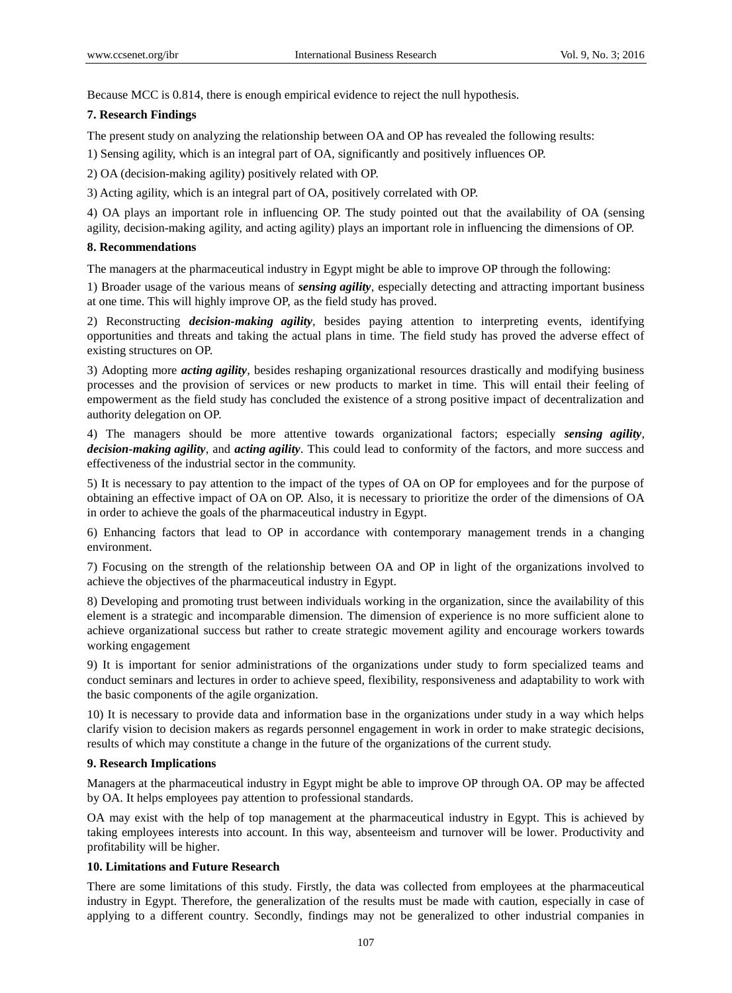Because MCC is 0.814, there is enough empirical evidence to reject the null hypothesis.

# **7. Research Findings**

The present study on analyzing the relationship between OA and OP has revealed the following results:

1) Sensing agility, which is an integral part of OA, significantly and positively influences OP.

2) OA (decision-making agility) positively related with OP.

3) Acting agility, which is an integral part of OA, positively correlated with OP.

4) OA plays an important role in influencing OP. The study pointed out that the availability of OA (sensing agility, decision-making agility, and acting agility) plays an important role in influencing the dimensions of OP.

# **8. Recommendations**

The managers at the pharmaceutical industry in Egypt might be able to improve OP through the following:

1) Broader usage of the various means of *sensing agility*, especially detecting and attracting important business at one time. This will highly improve OP, as the field study has proved.

2) Reconstructing *decision-making agility*, besides paying attention to interpreting events, identifying opportunities and threats and taking the actual plans in time. The field study has proved the adverse effect of existing structures on OP.

3) Adopting more *acting agility*, besides reshaping organizational resources drastically and modifying business processes and the provision of services or new products to market in time. This will entail their feeling of empowerment as the field study has concluded the existence of a strong positive impact of decentralization and authority delegation on OP.

4) The managers should be more attentive towards organizational factors; especially *sensing agility*, *decision-making agility*, and *acting agility*. This could lead to conformity of the factors, and more success and effectiveness of the industrial sector in the community.

5) It is necessary to pay attention to the impact of the types of OA on OP for employees and for the purpose of obtaining an effective impact of OA on OP. Also, it is necessary to prioritize the order of the dimensions of OA in order to achieve the goals of the pharmaceutical industry in Egypt.

6) Enhancing factors that lead to OP in accordance with contemporary management trends in a changing environment.

7) Focusing on the strength of the relationship between OA and OP in light of the organizations involved to achieve the objectives of the pharmaceutical industry in Egypt.

8) Developing and promoting trust between individuals working in the organization, since the availability of this element is a strategic and incomparable dimension. The dimension of experience is no more sufficient alone to achieve organizational success but rather to create strategic movement agility and encourage workers towards working engagement

9) It is important for senior administrations of the organizations under study to form specialized teams and conduct seminars and lectures in order to achieve speed, flexibility, responsiveness and adaptability to work with the basic components of the agile organization.

10) It is necessary to provide data and information base in the organizations under study in a way which helps clarify vision to decision makers as regards personnel engagement in work in order to make strategic decisions, results of which may constitute a change in the future of the organizations of the current study.

# **9. Research Implications**

Managers at the pharmaceutical industry in Egypt might be able to improve OP through OA. OP may be affected by OA. It helps employees pay attention to professional standards.

OA may exist with the help of top management at the pharmaceutical industry in Egypt. This is achieved by taking employees interests into account. In this way, absenteeism and turnover will be lower. Productivity and profitability will be higher.

# **10. Limitations and Future Research**

There are some limitations of this study. Firstly, the data was collected from employees at the pharmaceutical industry in Egypt. Therefore, the generalization of the results must be made with caution, especially in case of applying to a different country. Secondly, findings may not be generalized to other industrial companies in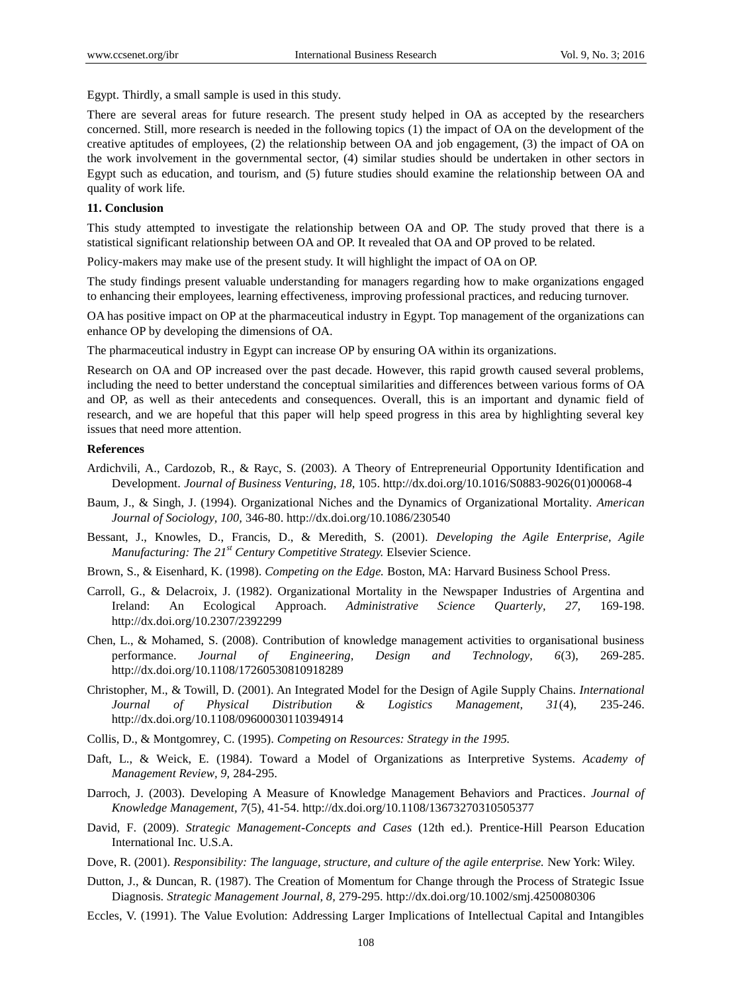Egypt. Thirdly, a small sample is used in this study.

There are several areas for future research. The present study helped in OA as accepted by the researchers concerned. Still, more research is needed in the following topics (1) the impact of OA on the development of the creative aptitudes of employees, (2) the relationship between OA and job engagement, (3) the impact of OA on the work involvement in the governmental sector, (4) similar studies should be undertaken in other sectors in Egypt such as education, and tourism, and (5) future studies should examine the relationship between OA and quality of work life.

## **11. Conclusion**

This study attempted to investigate the relationship between OA and OP. The study proved that there is a statistical significant relationship between OA and OP. It revealed that OA and OP proved to be related.

Policy-makers may make use of the present study. It will highlight the impact of OA on OP.

The study findings present valuable understanding for managers regarding how to make organizations engaged to enhancing their employees, learning effectiveness, improving professional practices, and reducing turnover.

OA has positive impact on OP at the pharmaceutical industry in Egypt. Top management of the organizations can enhance OP by developing the dimensions of OA.

The pharmaceutical industry in Egypt can increase OP by ensuring OA within its organizations.

Research on OA and OP increased over the past decade. However, this rapid growth caused several problems, including the need to better understand the conceptual similarities and differences between various forms of OA and OP, as well as their antecedents and consequences. Overall, this is an important and dynamic field of research, and we are hopeful that this paper will help speed progress in this area by highlighting several key issues that need more attention.

#### **References**

- Ardichvili, A., Cardozob, R., & Rayc, S. (2003). A Theory of Entrepreneurial Opportunity Identification and Development. *Journal of Business Venturing, 18,* 105. [http://dx.doi.org/10.1016/S0883-9026\(01\)00068-4](http://dx.doi.org/10.1016/S0883-9026(01)00068-4)
- Baum, J., & Singh, J. (1994). Organizational Niches and the Dynamics of Organizational Mortality. *American Journal of Sociology, 100,* 346-80. <http://dx.doi.org/10.1086/230540>
- Bessant, J., Knowles, D., Francis, D., & Meredith, S. (2001). *Developing the Agile Enterprise, Agile Manufacturing: The 21st Century Competitive Strategy.* Elsevier Science.
- Brown, S., & Eisenhard, K. (1998). *Competing on the Edge.* Boston, MA: Harvard Business School Press.
- Carroll, G., & Delacroix, J. (1982). Organizational Mortality in the Newspaper Industries of Argentina and Ireland: An Ecological Approach. *Administrative Science Quarterly, 27,* 169-198. <http://dx.doi.org/10.2307/2392299>
- Chen, L., & Mohamed, S. (2008). Contribution of knowledge management activities to organisational business performance. *Journal of Engineering, Design and Technology, 6*(3), 269-285. <http://dx.doi.org/10.1108/17260530810918289>
- Christopher, M., & Towill, D. (2001). An Integrated Model for the Design of Agile Supply Chains. *International Journal of Physical Distribution & Logistics Management, 31*(4), 235-246. <http://dx.doi.org/10.1108/09600030110394914>
- Collis, D., & Montgomrey, C. (1995). *Competing on Resources: Strategy in the 1995.*
- Daft, L., & Weick, E. (1984). Toward a Model of Organizations as Interpretive Systems. *Academy of Management Review, 9,* 284-295.
- Darroch, J. (2003). Developing A Measure of Knowledge Management Behaviors and Practices. *Journal of Knowledge Management, 7*(5), 41-54. <http://dx.doi.org/10.1108/13673270310505377>
- David, F. (2009). *Strategic Management-Concepts and Cases* (12th ed.). Prentice-Hill Pearson Education International Inc. U.S.A.
- Dove, R. (2001). *Responsibility: The language, structure, and culture of the agile enterprise.* New York: Wiley.
- Dutton, J., & Duncan, R. (1987). The Creation of Momentum for Change through the Process of Strategic Issue Diagnosis. *Strategic Management Journal, 8,* 279-295. <http://dx.doi.org/10.1002/smj.4250080306>
- Eccles, V. (1991). The Value Evolution: Addressing Larger Implications of Intellectual Capital and Intangibles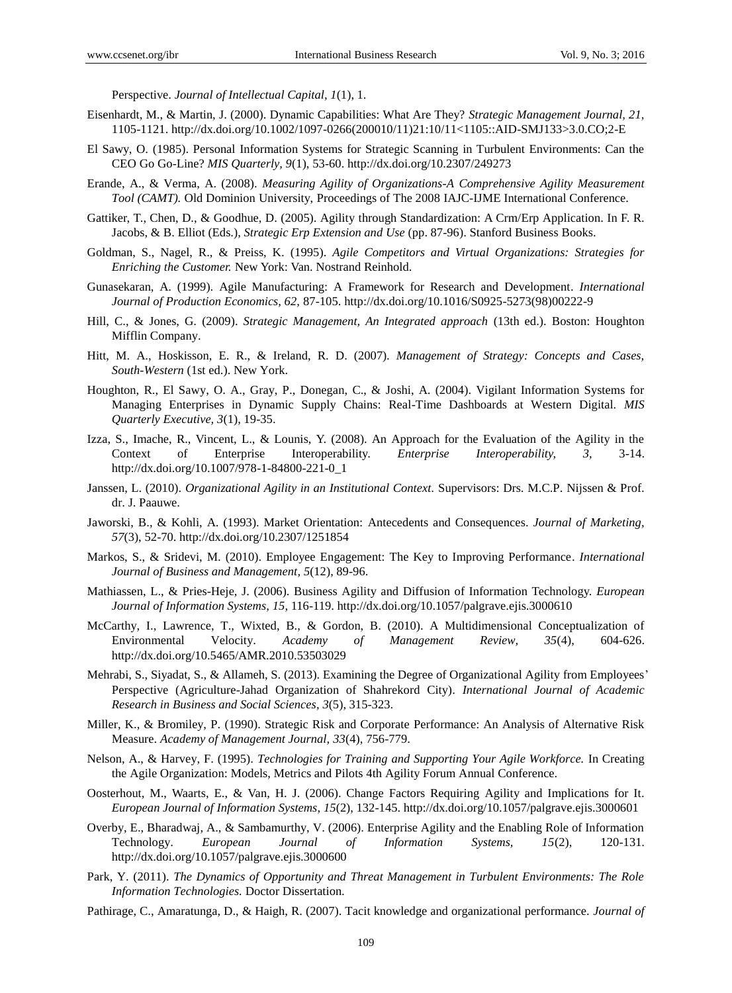Perspective. *Journal of Intellectual Capital, 1*(1), 1.

- Eisenhardt, M., & Martin, J. (2000). Dynamic Capabilities: What Are They? *Strategic Management Journal, 21,* 1105-1121. [http://dx.doi.org/10.1002/1097-0266\(200010/11\)21:10/11<1105::AID-SMJ133>3.0.CO;2-E](http://dx.doi.org/10.1002/1097-0266(200010/11)21:10/11%3C1105::AID-SMJ133%3E3.0.CO;2-E)
- El Sawy, O. (1985). Personal Information Systems for Strategic Scanning in Turbulent Environments: Can the CEO Go Go-Line? *MIS Quarterly, 9*(1), 53-60. <http://dx.doi.org/10.2307/249273>
- Erande, A., & Verma, A. (2008). *Measuring Agility of Organizations-A Comprehensive Agility Measurement Tool (CAMT).* Old Dominion University, Proceedings of The 2008 IAJC-IJME International Conference.
- Gattiker, T., Chen, D., & Goodhue, D. (2005). Agility through Standardization: A Crm/Erp Application. In F. R. Jacobs, & B. Elliot (Eds.), *Strategic Erp Extension and Use* (pp. 87-96). Stanford Business Books.
- Goldman, S., Nagel, R., & Preiss, K. (1995). *Agile Competitors and Virtual Organizations: Strategies for Enriching the Customer.* New York: Van. Nostrand Reinhold.
- Gunasekaran, A. (1999). Agile Manufacturing: A Framework for Research and Development. *International Journal of Production Economics, 62,* 87-105. [http://dx.doi.org/10.1016/S0925-5273\(98\)00222-9](http://dx.doi.org/10.1016/S0925-5273(98)00222-9)
- Hill, C., & Jones, G. (2009). *Strategic Management, An Integrated approach* (13th ed.). Boston: Houghton Mifflin Company.
- Hitt, M. A., Hoskisson, E. R., & Ireland, R. D. (2007). *Management of Strategy: Concepts and Cases, South-Western* (1st ed.). New York.
- Houghton, R., El Sawy, O. A., Gray, P., Donegan, C., & Joshi, A. (2004). Vigilant Information Systems for Managing Enterprises in Dynamic Supply Chains: Real-Time Dashboards at Western Digital. *MIS Quarterly Executive, 3*(1), 19-35.
- Izza, S., Imache, R., Vincent, L., & Lounis, Y. (2008). An Approach for the Evaluation of the Agility in the Context of Enterprise Interoperability. *Enterprise Interoperability, 3,* 3-14. [http://dx.doi.org/10.1007/978-1-84800-221-0\\_1](http://dx.doi.org/10.1007/978-1-84800-221-0_1)
- Janssen, L. (2010). *Organizational Agility in an Institutional Context.* Supervisors: Drs. M.C.P. Nijssen & Prof. dr. J. Paauwe.
- Jaworski, B., & Kohli, A. (1993). Market Orientation: Antecedents and Consequences. *Journal of Marketing, 57*(3), 52-70. <http://dx.doi.org/10.2307/1251854>
- Markos, S., & Sridevi, M. (2010). Employee Engagement: The Key to Improving Performance. *International Journal of Business and Management, 5*(12), 89-96.
- Mathiassen, L., & Pries-Heje, J. (2006). Business Agility and Diffusion of Information Technology. *European Journal of Information Systems, 15,* 116-119. <http://dx.doi.org/10.1057/palgrave.ejis.3000610>
- McCarthy, I., Lawrence, T., Wixted, B., & Gordon, B. (2010). A Multidimensional Conceptualization of Environmental Velocity. *Academy of Management Review, 35*(4), 604-626. <http://dx.doi.org/10.5465/AMR.2010.53503029>
- Mehrabi, S., Siyadat, S., & Allameh, S. (2013). Examining the Degree of Organizational Agility from Employees' Perspective (Agriculture-Jahad Organization of Shahrekord City). *International Journal of Academic Research in Business and Social Sciences, 3*(5), 315-323.
- Miller, K., & Bromiley, P. (1990). Strategic Risk and Corporate Performance: An Analysis of Alternative Risk Measure. *Academy of Management Journal, 33*(4), 756-779.
- Nelson, A., & Harvey, F. (1995). *Technologies for Training and Supporting Your Agile Workforce.* In Creating the Agile Organization: Models, Metrics and Pilots 4th Agility Forum Annual Conference.
- Oosterhout, M., Waarts, E., & Van, H. J. (2006). Change Factors Requiring Agility and Implications for It. *European Journal of Information Systems, 15*(2), 132-145. <http://dx.doi.org/10.1057/palgrave.ejis.3000601>
- Overby, E., Bharadwaj, A., & Sambamurthy, V. (2006). Enterprise Agility and the Enabling Role of Information Technology. *European Journal of Information Systems, 15*(2), 120-131. <http://dx.doi.org/10.1057/palgrave.ejis.3000600>
- Park, Y. (2011). *The Dynamics of Opportunity and Threat Management in Turbulent Environments: The Role Information Technologies.* Doctor Dissertation.
- Pathirage, C., Amaratunga, D., & Haigh, R. (2007). Tacit knowledge and organizational performance. *Journal of*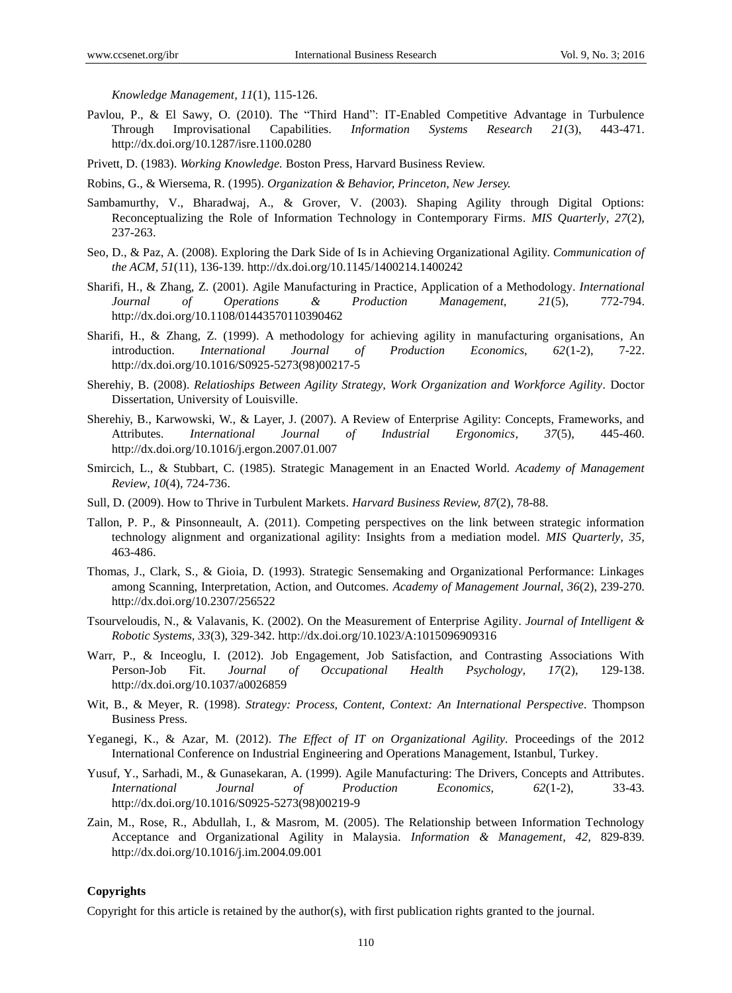*Knowledge Management, 11*(1), 115-126.

- Pavlou, P., & El Sawy, O. (2010). The "Third Hand": IT-Enabled Competitive Advantage in Turbulence Through Improvisational Capabilities. *Information Systems Research 21*(3), 443-471. <http://dx.doi.org/10.1287/isre.1100.0280>
- Privett, D. (1983). *Working Knowledge.* Boston Press, Harvard Business Review.

Robins, G., & Wiersema, R. (1995). *Organization & Behavior, Princeton, New Jersey.*

- Sambamurthy, V., Bharadwaj, A., & Grover, V. (2003). Shaping Agility through Digital Options: Reconceptualizing the Role of Information Technology in Contemporary Firms. *MIS Quarterly, 27*(2), 237-263.
- Seo, D., & Paz, A. (2008). Exploring the Dark Side of Is in Achieving Organizational Agility. *Communication of the ACM, 51*(11), 136-139. <http://dx.doi.org/10.1145/1400214.1400242>
- Sharifi, H., & Zhang, Z. (2001). Agile Manufacturing in Practice, Application of a Methodology. *International Journal of Operations & Production Management, 21*(5), 772-794. <http://dx.doi.org/10.1108/01443570110390462>
- Sharifi, H., & Zhang, Z. (1999). A methodology for achieving agility in manufacturing organisations, An introduction. *International Journal of Production Economics, 62*(1-2), 7-22. [http://dx.doi.org/10.1016/S0925-5273\(98\)00217-5](http://dx.doi.org/10.1016/S0925-5273(98)00217-5)
- Sherehiy, B. (2008). *Relatioships Between Agility Strategy, Work Organization and Workforce Agility.* Doctor Dissertation, University of Louisville.
- Sherehiy, B., Karwowski, W., & Layer, J. (2007). A Review of Enterprise Agility: Concepts, Frameworks, and Attributes. *International Journal of Industrial Ergonomics, 37*(5), 445-460. <http://dx.doi.org/10.1016/j.ergon.2007.01.007>
- Smircich, L., & Stubbart, C. (1985). Strategic Management in an Enacted World. *Academy of Management Review, 10*(4), 724-736.
- Sull, D. (2009). How to Thrive in Turbulent Markets. *Harvard Business Review, 87*(2), 78-88.
- Tallon, P. P., & Pinsonneault, A. (2011). Competing perspectives on the link between strategic information technology alignment and organizational agility: Insights from a mediation model. *MIS Quarterly, 35,* 463-486.
- Thomas, J., Clark, S., & Gioia, D. (1993). Strategic Sensemaking and Organizational Performance: Linkages among Scanning, Interpretation, Action, and Outcomes. *Academy of Management Journal, 36*(2), 239-270. <http://dx.doi.org/10.2307/256522>
- Tsourveloudis, N., & Valavanis, K. (2002). On the Measurement of Enterprise Agility. *Journal of Intelligent & Robotic Systems, 33*(3), 329-342. <http://dx.doi.org/10.1023/A:1015096909316>
- Warr, P., & Inceoglu, I. (2012). Job Engagement, Job Satisfaction, and Contrasting Associations With Person-Job Fit. *Journal of Occupational Health Psychology, 17*(2), 129-138. <http://dx.doi.org/10.1037/a0026859>
- Wit, B., & Meyer, R. (1998). *Strategy: Process, Content, Context: An International Perspective.* Thompson Business Press.
- Yeganegi, K., & Azar, M. (2012). *The Effect of IT on Organizational Agility.* Proceedings of the 2012 International Conference on Industrial Engineering and Operations Management, Istanbul, Turkey.
- Yusuf, Y., Sarhadi, M., & Gunasekaran, A. (1999). Agile Manufacturing: The Drivers, Concepts and Attributes. *International Journal of Production Economics, 62*(1-2), 33-43. [http://dx.doi.org/10.1016/S0925-5273\(98\)00219-9](http://dx.doi.org/10.1016/S0925-5273(98)00219-9)
- Zain, M., Rose, R., Abdullah, I., & Masrom, M. (2005). The Relationship between Information Technology Acceptance and Organizational Agility in Malaysia. *Information & Management, 42,* 829-839. <http://dx.doi.org/10.1016/j.im.2004.09.001>

#### **Copyrights**

Copyright for this article is retained by the author(s), with first publication rights granted to the journal.